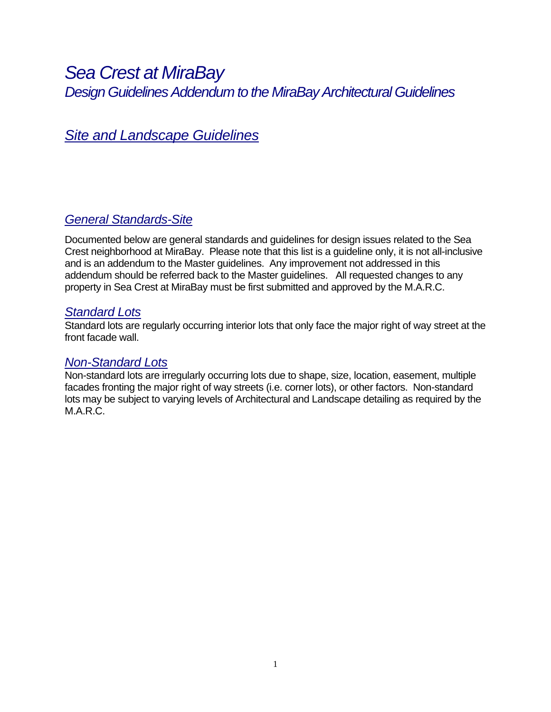# *Sea Crest at MiraBay Design Guidelines Addendum to the MiraBay Architectural Guidelines*

# *Site and Landscape Guidelines*

## *General Standards-Site*

Documented below are general standards and guidelines for design issues related to the Sea Crest neighborhood at MiraBay. Please note that this list is a guideline only, it is not all-inclusive and is an addendum to the Master guidelines. Any improvement not addressed in this addendum should be referred back to the Master guidelines. All requested changes to any property in Sea Crest at MiraBay must be first submitted and approved by the M.A.R.C.

## *Standard Lots*

Standard lots are regularly occurring interior lots that only face the major right of way street at the front facade wall.

### *Non-Standard Lots*

Non-standard lots are irregularly occurring lots due to shape, size, location, easement, multiple facades fronting the major right of way streets (i.e. corner lots), or other factors. Non-standard lots may be subject to varying levels of Architectural and Landscape detailing as required by the M.A.R.C.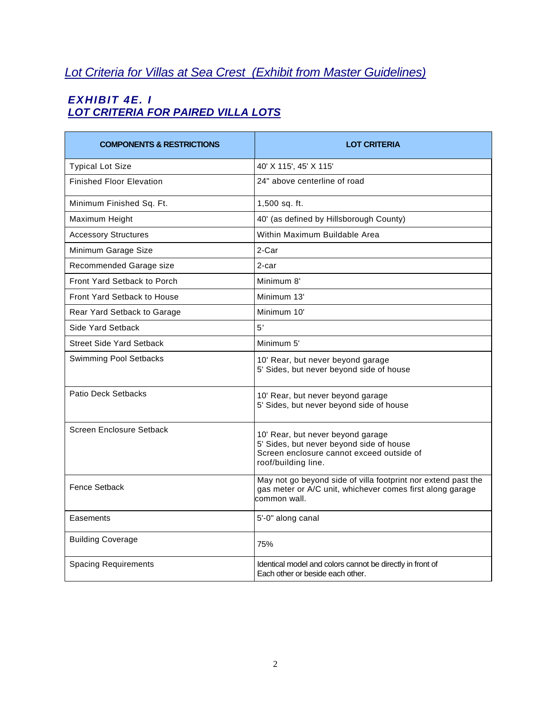# *Lot Criteria for Villas at Sea Crest (Exhibit from Master Guidelines)*

## *EXHIBIT 4E. I LOT CRITERIA FOR PAIRED VILLA LOTS*

| <b>COMPONENTS &amp; RESTRICTIONS</b> | <b>LOT CRITERIA</b>                                                                                                                               |
|--------------------------------------|---------------------------------------------------------------------------------------------------------------------------------------------------|
| <b>Typical Lot Size</b>              | 40' X 115', 45' X 115'                                                                                                                            |
| <b>Finished Floor Elevation</b>      | 24" above centerline of road                                                                                                                      |
| Minimum Finished Sq. Ft.             | 1,500 sq. ft.                                                                                                                                     |
| Maximum Height                       | 40' (as defined by Hillsborough County)                                                                                                           |
| <b>Accessory Structures</b>          | Within Maximum Buildable Area                                                                                                                     |
| Minimum Garage Size                  | 2-Car                                                                                                                                             |
| Recommended Garage size              | 2-car                                                                                                                                             |
| <b>Front Yard Setback to Porch</b>   | Minimum 8'                                                                                                                                        |
| <b>Front Yard Setback to House</b>   | Minimum 13'                                                                                                                                       |
| Rear Yard Setback to Garage          | Minimum 10'                                                                                                                                       |
| Side Yard Setback                    | 5'                                                                                                                                                |
| Street Side Yard Setback             | Minimum 5'                                                                                                                                        |
| <b>Swimming Pool Setbacks</b>        | 10' Rear, but never beyond garage<br>5' Sides, but never beyond side of house                                                                     |
| Patio Deck Setbacks                  | 10' Rear, but never beyond garage<br>5' Sides, but never beyond side of house                                                                     |
| Screen Enclosure Setback             | 10' Rear, but never beyond garage<br>5' Sides, but never beyond side of house<br>Screen enclosure cannot exceed outside of<br>roof/building line. |
| Fence Setback                        | May not go beyond side of villa footprint nor extend past the<br>gas meter or A/C unit, whichever comes first along garage<br>common wall.        |
| Easements                            | 5'-0" along canal                                                                                                                                 |
| <b>Building Coverage</b>             | 75%                                                                                                                                               |
| <b>Spacing Requirements</b>          | Identical model and colors cannot be directly in front of<br>Each other or beside each other.                                                     |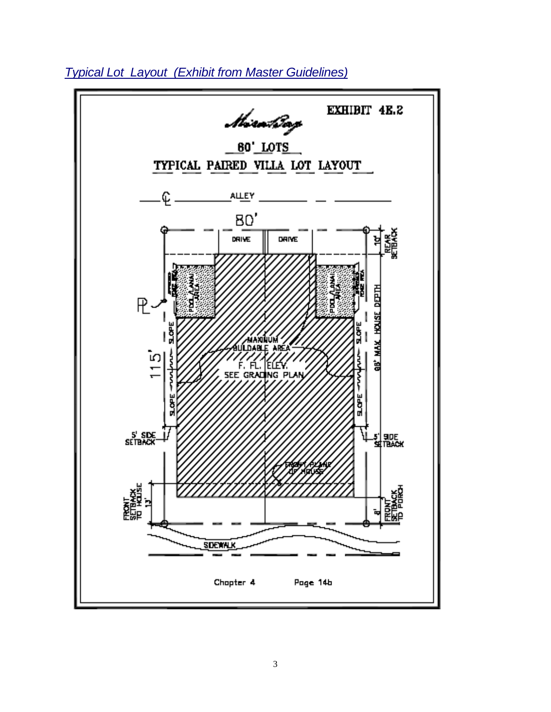

*Typical Lot Layout (Exhibit from Master Guidelines)*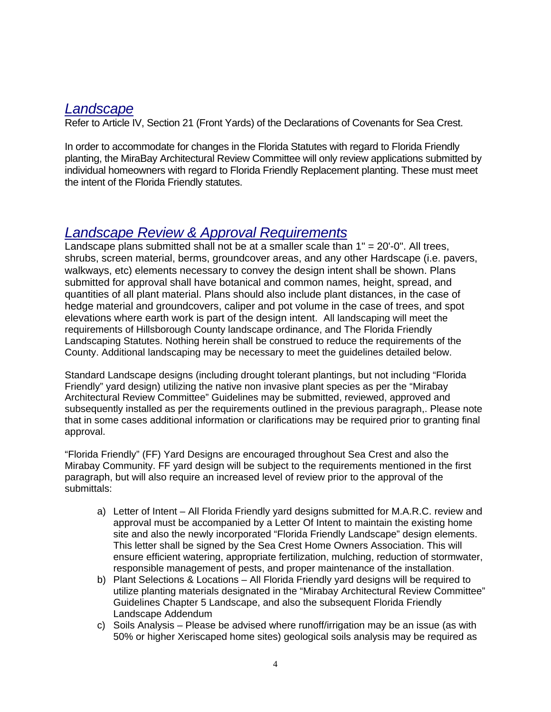## *Landscape*

Refer to Article IV, Section 21 (Front Yards) of the Declarations of Covenants for Sea Crest.

In order to accommodate for changes in the Florida Statutes with regard to Florida Friendly planting, the MiraBay Architectural Review Committee will only review applications submitted by individual homeowners with regard to Florida Friendly Replacement planting. These must meet the intent of the Florida Friendly statutes.

# *Landscape Review & Approval Requirements*

Landscape plans submitted shall not be at a smaller scale than  $1" = 20'-0"$ . All trees, shrubs, screen material, berms, groundcover areas, and any other Hardscape (i.e. pavers, walkways, etc) elements necessary to convey the design intent shall be shown. Plans submitted for approval shall have botanical and common names, height, spread, and quantities of all plant material. Plans should also include plant distances, in the case of hedge material and groundcovers, caliper and pot volume in the case of trees, and spot elevations where earth work is part of the design intent. All landscaping will meet the requirements of Hillsborough County landscape ordinance, and The Florida Friendly Landscaping Statutes. Nothing herein shall be construed to reduce the requirements of the County. Additional landscaping may be necessary to meet the guidelines detailed below.

Standard Landscape designs (including drought tolerant plantings, but not including "Florida Friendly" yard design) utilizing the native non invasive plant species as per the "Mirabay Architectural Review Committee" Guidelines may be submitted, reviewed, approved and subsequently installed as per the requirements outlined in the previous paragraph,. Please note that in some cases additional information or clarifications may be required prior to granting final approval.

"Florida Friendly" (FF) Yard Designs are encouraged throughout Sea Crest and also the Mirabay Community. FF yard design will be subject to the requirements mentioned in the first paragraph, but will also require an increased level of review prior to the approval of the submittals:

- a) Letter of Intent All Florida Friendly yard designs submitted for M.A.R.C. review and approval must be accompanied by a Letter Of Intent to maintain the existing home site and also the newly incorporated "Florida Friendly Landscape" design elements. This letter shall be signed by the Sea Crest Home Owners Association. This will ensure efficient watering, appropriate fertilization, mulching, reduction of stormwater, responsible management of pests, and proper maintenance of the installation.
- b) Plant Selections & Locations All Florida Friendly yard designs will be required to utilize planting materials designated in the "Mirabay Architectural Review Committee" Guidelines Chapter 5 Landscape, and also the subsequent Florida Friendly Landscape Addendum
- c) Soils Analysis Please be advised where runoff/irrigation may be an issue (as with 50% or higher Xeriscaped home sites) geological soils analysis may be required as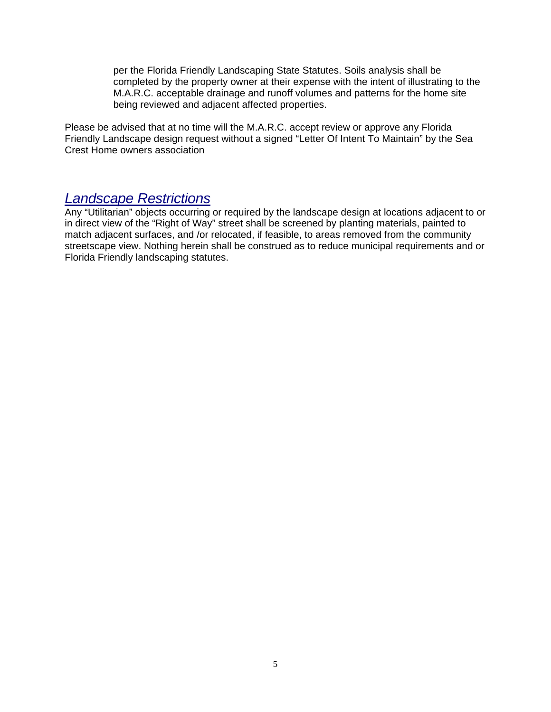per the Florida Friendly Landscaping State Statutes. Soils analysis shall be completed by the property owner at their expense with the intent of illustrating to the M.A.R.C. acceptable drainage and runoff volumes and patterns for the home site being reviewed and adjacent affected properties.

Please be advised that at no time will the M.A.R.C. accept review or approve any Florida Friendly Landscape design request without a signed "Letter Of Intent To Maintain" by the Sea Crest Home owners association

## *Landscape Restrictions*

Any "Utilitarian" objects occurring or required by the landscape design at locations adjacent to or in direct view of the "Right of Way" street shall be screened by planting materials, painted to match adjacent surfaces, and /or relocated, if feasible, to areas removed from the community streetscape view. Nothing herein shall be construed as to reduce municipal requirements and or Florida Friendly landscaping statutes.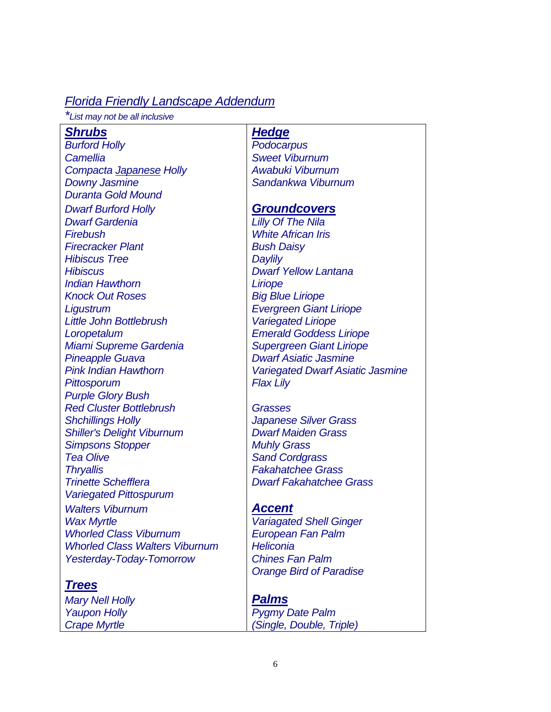## *Florida Friendly Landscape Addendum*

*\*List may not be all inclusive*

### **Shrubs** Hedge

*Burford Holly Podocarpus Camellia Sweet Viburnum Compacta Japanese Holly Awabuki Viburnum*  **Downy Jasmine** Sandankwa Viburnum *Duranta Gold Mound Dwarf Burford Holly Groundcovers Dwarf Gardenia Lilly Of The Nila Firebush White African Iris*  **Firecracker Plant Bush Daisy** *Hibiscus Tree* Daylily *Hibiscus Dwarf Yellow Lantana Indian Hawthorn* **Liriope Knock Out Roses** Big Blue Liriope *Ligustrum Evergreen Giant Liriope Little John Bottlebrush Variegated Liriope Loropetalum Emerald Goddess Liriope Miami Supreme Gardenia* | Supergreen Giant Liriope *Pineapple Guava Dwarf Asiatic Jasmine Pittosporum* Flax Lily *Purple Glory Bush Red Cluster Bottlebrush Grasses Shchillings Holly Japanese Silver Grass Shiller's Delight Viburnum Dwarf Maiden Grass*  **Simpsons Stopper Muhly Grass Tea Olive Sand Cordgrass**  Sand Cordgrass *Thryallis Fakahatchee Grass*  **Trinette Schefflera Dwarf Fakahatchee Grass** *Variegated Pittospurum Walters Viburnum Accent Wax Myrtle Variagated Shell Ginger Variagated Shell Ginger Whorled Class Viburnum European Fan Palm Whorled Class Walters Viburnum Heliconia* 

### *Trees*

*Mary Nell Holly Palms*

*Pink Indian Hawthorn Variegated Dwarf Asiatic Jasmine* 

*Yesterday-Today-Tomorrow Chines Fan Palm Orange Bird of Paradise* 

# *Yaupon Holly Pygmy Date Palm Crape Myrtle (Single, Double, Triple)*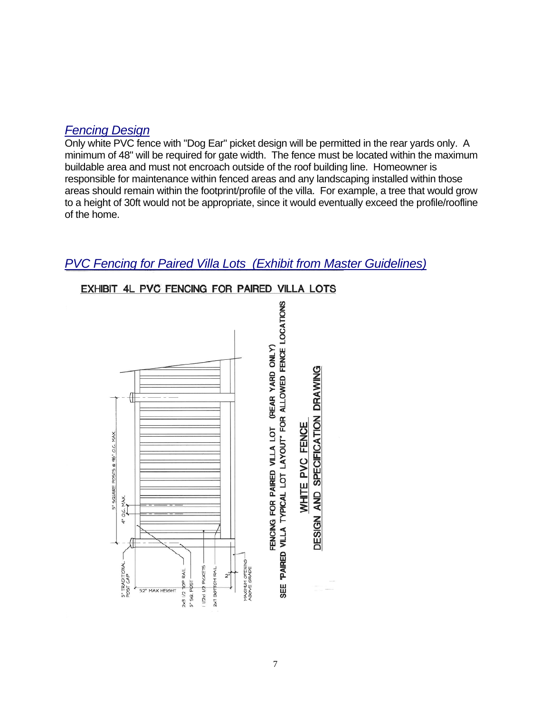## *Fencing Design*

Only white PVC fence with "Dog Ear" picket design will be permitted in the rear yards only. A minimum of 48" will be required for gate width. The fence must be located within the maximum buildable area and must not encroach outside of the roof building line. Homeowner is responsible for maintenance within fenced areas and any landscaping installed within those areas should remain within the footprint/profile of the villa. For example, a tree that would grow to a height of 30ft would not be appropriate, since it would eventually exceed the profile/roofline of the home.

## *PVC Fencing for Paired Villa Lots (Exhibit from Master Guidelines)*



### EXHIBIT 4L PVC FENCING FOR PAIRED VILLA LOTS